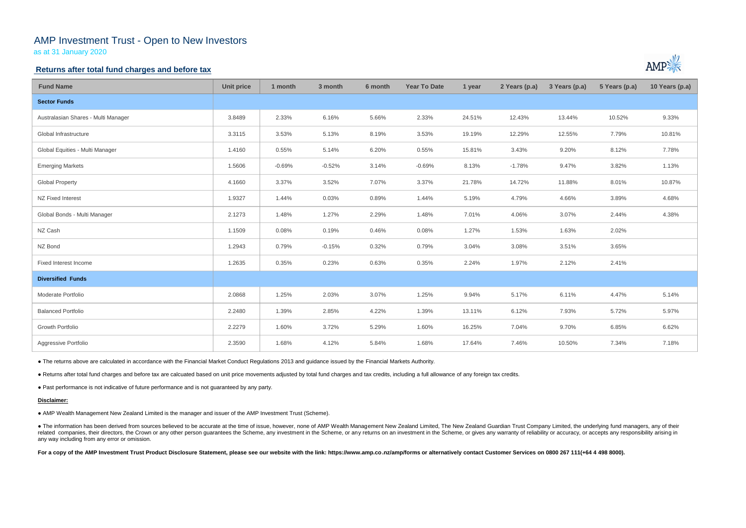# AMP Investment Trust - Open to New Investors

as at 31 January 2020

## **Returns after total fund charges and before tax**

| <b>Fund Name</b>                    | <b>Unit price</b> | 1 month  | 3 month  | 6 month | <b>Year To Date</b> | 1 year | 2 Years (p.a) | 3 Years (p.a) | 5 Years (p.a) | 10 Years (p.a) |
|-------------------------------------|-------------------|----------|----------|---------|---------------------|--------|---------------|---------------|---------------|----------------|
| <b>Sector Funds</b>                 |                   |          |          |         |                     |        |               |               |               |                |
| Australasian Shares - Multi Manager | 3.8489            | 2.33%    | 6.16%    | 5.66%   | 2.33%               | 24.51% | 12.43%        | 13.44%        | 10.52%        | 9.33%          |
| Global Infrastructure               | 3.3115            | 3.53%    | 5.13%    | 8.19%   | 3.53%               | 19.19% | 12.29%        | 12.55%        | 7.79%         | 10.81%         |
| Global Equities - Multi Manager     | 1.4160            | 0.55%    | 5.14%    | 6.20%   | 0.55%               | 15.81% | 3.43%         | 9.20%         | 8.12%         | 7.78%          |
| <b>Emerging Markets</b>             | 1.5606            | $-0.69%$ | $-0.52%$ | 3.14%   | $-0.69%$            | 8.13%  | $-1.78%$      | 9.47%         | 3.82%         | 1.13%          |
| <b>Global Property</b>              | 4.1660            | 3.37%    | 3.52%    | 7.07%   | 3.37%               | 21.78% | 14.72%        | 11.88%        | 8.01%         | 10.87%         |
| NZ Fixed Interest                   | 1.9327            | 1.44%    | 0.03%    | 0.89%   | 1.44%               | 5.19%  | 4.79%         | 4.66%         | 3.89%         | 4.68%          |
| Global Bonds - Multi Manager        | 2.1273            | 1.48%    | 1.27%    | 2.29%   | 1.48%               | 7.01%  | 4.06%         | 3.07%         | 2.44%         | 4.38%          |
| NZ Cash                             | 1.1509            | 0.08%    | 0.19%    | 0.46%   | 0.08%               | 1.27%  | 1.53%         | 1.63%         | 2.02%         |                |
| NZ Bond                             | 1.2943            | 0.79%    | $-0.15%$ | 0.32%   | 0.79%               | 3.04%  | 3.08%         | 3.51%         | 3.65%         |                |
| Fixed Interest Income               | 1.2635            | 0.35%    | 0.23%    | 0.63%   | 0.35%               | 2.24%  | 1.97%         | 2.12%         | 2.41%         |                |
| <b>Diversified Funds</b>            |                   |          |          |         |                     |        |               |               |               |                |
| Moderate Portfolio                  | 2.0868            | 1.25%    | 2.03%    | 3.07%   | 1.25%               | 9.94%  | 5.17%         | 6.11%         | 4.47%         | 5.14%          |
| <b>Balanced Portfolio</b>           | 2.2480            | 1.39%    | 2.85%    | 4.22%   | 1.39%               | 13.11% | 6.12%         | 7.93%         | 5.72%         | 5.97%          |
| Growth Portfolio                    | 2.2279            | 1.60%    | 3.72%    | 5.29%   | 1.60%               | 16.25% | 7.04%         | 9.70%         | 6.85%         | 6.62%          |
| Aggressive Portfolio                | 2.3590            | 1.68%    | 4.12%    | 5.84%   | 1.68%               | 17.64% | 7.46%         | 10.50%        | 7.34%         | 7.18%          |

• The information has been derived from sources believed to be accurate at the time of issue, however, none of AMP Wealth Management New Zealand Limited, The New Zealand Guardian Trust Company Limited, the underlying fund related companies, their directors, the Crown or any other person guarantees the Scheme, any investment in the Scheme, or any returns on an investment in the Scheme, or gives any warranty of reliability or accuracy, or acc any way including from any error or omission.

For a copy of the AMP Investment Trust Product Disclosure Statement, please see our website with the link: https://www.amp.co.nz/amp/forms or alternatively contact Customer Services on 0800 267 111(+64 4 498 8000).



● The returns above are calculated in accordance with the Financial Market Conduct Regulations 2013 and guidance issued by the Financial Markets Authority.

● Returns after total fund charges and before tax are calcuated based on unit price movements adjusted by total fund charges and tax credits, including a full allowance of any foreign tax credits.

● Past performance is not indicative of future performance and is not guaranteed by any party.

#### **Disclaimer:**

● AMP Wealth Management New Zealand Limited is the manager and issuer of the AMP Investment Trust (Scheme).